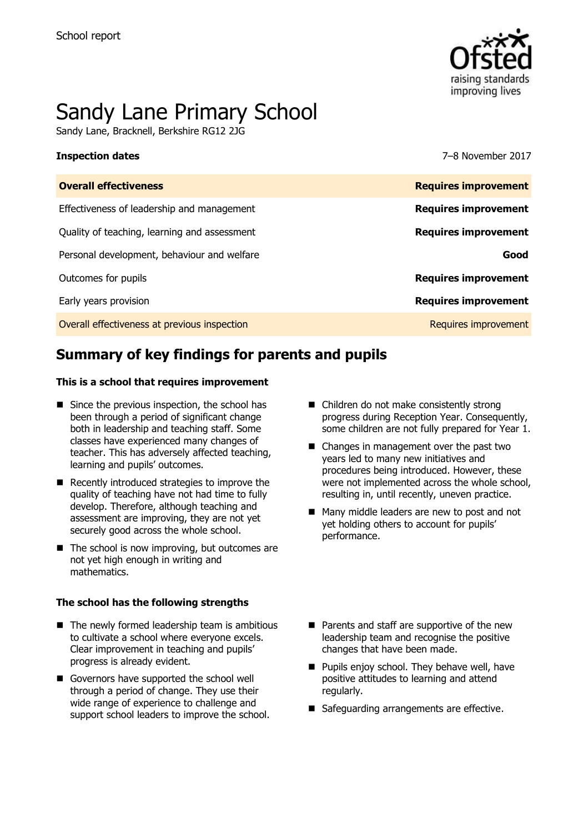

# Sandy Lane Primary School

Sandy Lane, Bracknell, Berkshire RG12 2JG

**Inspection dates** 7–8 November 2017

| <b>Overall effectiveness</b>                 | <b>Requires improvement</b> |
|----------------------------------------------|-----------------------------|
| Effectiveness of leadership and management   | <b>Requires improvement</b> |
| Quality of teaching, learning and assessment | <b>Requires improvement</b> |
| Personal development, behaviour and welfare  | Good                        |
| Outcomes for pupils                          | <b>Requires improvement</b> |
| Early years provision                        | <b>Requires improvement</b> |
| Overall effectiveness at previous inspection | <b>Requires improvement</b> |
|                                              |                             |

# **Summary of key findings for parents and pupils**

### **This is a school that requires improvement**

- $\blacksquare$  Since the previous inspection, the school has been through a period of significant change both in leadership and teaching staff. Some classes have experienced many changes of teacher. This has adversely affected teaching, learning and pupils' outcomes.
- Recently introduced strategies to improve the quality of teaching have not had time to fully develop. Therefore, although teaching and assessment are improving, they are not yet securely good across the whole school.
- $\blacksquare$  The school is now improving, but outcomes are not yet high enough in writing and mathematics.

### **The school has the following strengths**

- $\blacksquare$  The newly formed leadership team is ambitious to cultivate a school where everyone excels. Clear improvement in teaching and pupils' progress is already evident.
- Governors have supported the school well through a period of change. They use their wide range of experience to challenge and support school leaders to improve the school.
- Children do not make consistently strong progress during Reception Year. Consequently, some children are not fully prepared for Year 1.
- Changes in management over the past two years led to many new initiatives and procedures being introduced. However, these were not implemented across the whole school, resulting in, until recently, uneven practice.
- Many middle leaders are new to post and not yet holding others to account for pupils' performance.
- Parents and staff are supportive of the new leadership team and recognise the positive changes that have been made.
- **Pupils enjoy school. They behave well, have** positive attitudes to learning and attend regularly.
- Safeguarding arrangements are effective.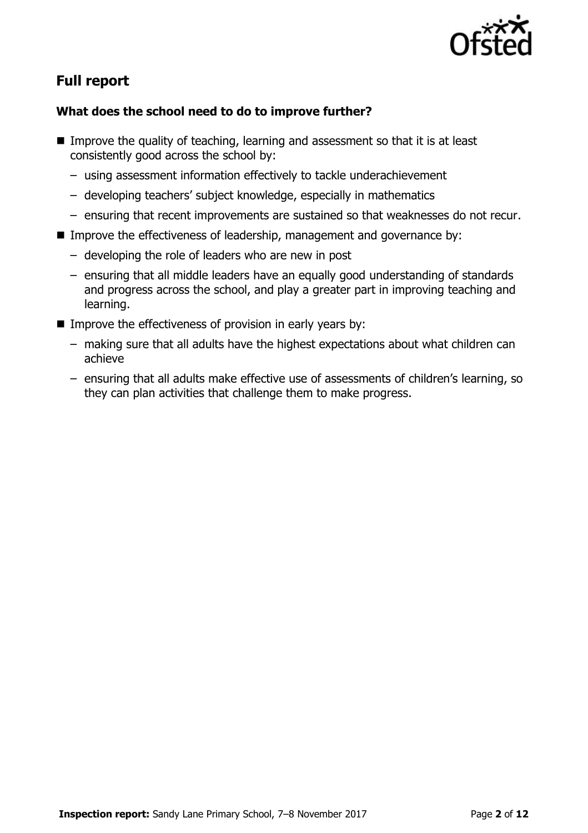

# **Full report**

### **What does the school need to do to improve further?**

- Improve the quality of teaching, learning and assessment so that it is at least consistently good across the school by:
	- using assessment information effectively to tackle underachievement
	- developing teachers' subject knowledge, especially in mathematics
	- ensuring that recent improvements are sustained so that weaknesses do not recur.
- **IMPROVE THE EFFECT INCOCES OF LEADER FIGURER** Industgance by:
	- developing the role of leaders who are new in post
	- ensuring that all middle leaders have an equally good understanding of standards and progress across the school, and play a greater part in improving teaching and learning.
- Improve the effectiveness of provision in early years by:
	- making sure that all adults have the highest expectations about what children can achieve
	- ensuring that all adults make effective use of assessments of children's learning, so they can plan activities that challenge them to make progress.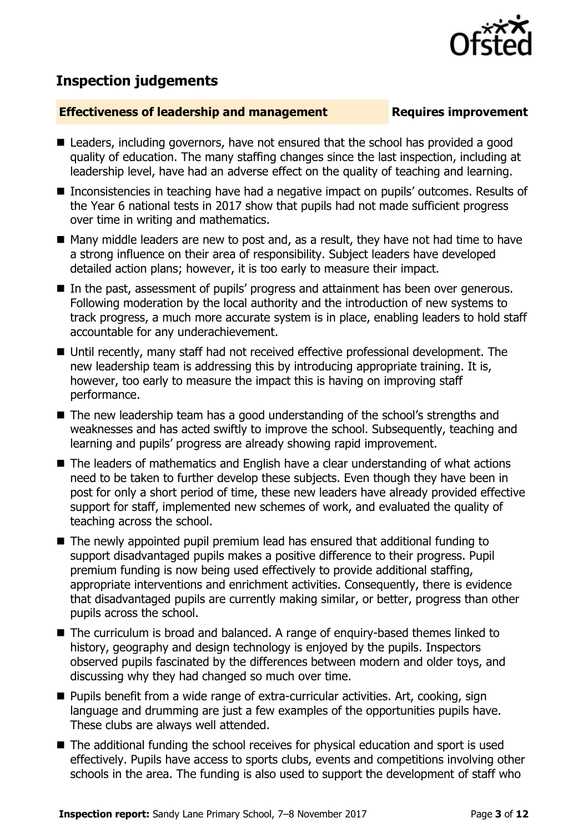## **Inspection judgements**

### **Effectiveness of leadership and management Requires improvement**

- Leaders, including governors, have not ensured that the school has provided a good quality of education. The many staffing changes since the last inspection, including at leadership level, have had an adverse effect on the quality of teaching and learning.
- Inconsistencies in teaching have had a negative impact on pupils' outcomes. Results of the Year 6 national tests in 2017 show that pupils had not made sufficient progress over time in writing and mathematics.
- Many middle leaders are new to post and, as a result, they have not had time to have a strong influence on their area of responsibility. Subject leaders have developed detailed action plans; however, it is too early to measure their impact.
- In the past, assessment of pupils' progress and attainment has been over generous. Following moderation by the local authority and the introduction of new systems to track progress, a much more accurate system is in place, enabling leaders to hold staff accountable for any underachievement.
- Until recently, many staff had not received effective professional development. The new leadership team is addressing this by introducing appropriate training. It is, however, too early to measure the impact this is having on improving staff performance.
- The new leadership team has a good understanding of the school's strengths and weaknesses and has acted swiftly to improve the school. Subsequently, teaching and learning and pupils' progress are already showing rapid improvement.
- The leaders of mathematics and English have a clear understanding of what actions need to be taken to further develop these subjects. Even though they have been in post for only a short period of time, these new leaders have already provided effective support for staff, implemented new schemes of work, and evaluated the quality of teaching across the school.
- The newly appointed pupil premium lead has ensured that additional funding to support disadvantaged pupils makes a positive difference to their progress. Pupil premium funding is now being used effectively to provide additional staffing, appropriate interventions and enrichment activities. Consequently, there is evidence that disadvantaged pupils are currently making similar, or better, progress than other pupils across the school.
- The curriculum is broad and balanced. A range of enguiry-based themes linked to history, geography and design technology is enjoyed by the pupils. Inspectors observed pupils fascinated by the differences between modern and older toys, and discussing why they had changed so much over time.
- Pupils benefit from a wide range of extra-curricular activities. Art, cooking, sign language and drumming are just a few examples of the opportunities pupils have. These clubs are always well attended.
- The additional funding the school receives for physical education and sport is used effectively. Pupils have access to sports clubs, events and competitions involving other schools in the area. The funding is also used to support the development of staff who

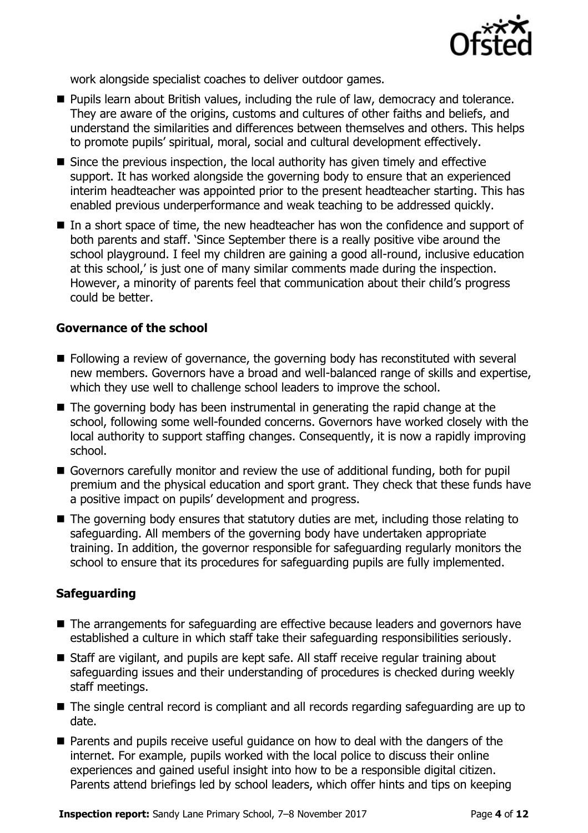

work alongside specialist coaches to deliver outdoor games.

- **Pupils learn about British values, including the rule of law, democracy and tolerance.** They are aware of the origins, customs and cultures of other faiths and beliefs, and understand the similarities and differences between themselves and others. This helps to promote pupils' spiritual, moral, social and cultural development effectively.
- Since the previous inspection, the local authority has given timely and effective support. It has worked alongside the governing body to ensure that an experienced interim headteacher was appointed prior to the present headteacher starting. This has enabled previous underperformance and weak teaching to be addressed quickly.
- In a short space of time, the new headteacher has won the confidence and support of both parents and staff. 'Since September there is a really positive vibe around the school playground. I feel my children are gaining a good all-round, inclusive education at this school,' is just one of many similar comments made during the inspection. However, a minority of parents feel that communication about their child's progress could be better.

### **Governance of the school**

- Following a review of governance, the governing body has reconstituted with several new members. Governors have a broad and well-balanced range of skills and expertise, which they use well to challenge school leaders to improve the school.
- The governing body has been instrumental in generating the rapid change at the school, following some well-founded concerns. Governors have worked closely with the local authority to support staffing changes. Consequently, it is now a rapidly improving school.
- Governors carefully monitor and review the use of additional funding, both for pupil premium and the physical education and sport grant. They check that these funds have a positive impact on pupils' development and progress.
- The governing body ensures that statutory duties are met, including those relating to safeguarding. All members of the governing body have undertaken appropriate training. In addition, the governor responsible for safeguarding regularly monitors the school to ensure that its procedures for safeguarding pupils are fully implemented.

### **Safeguarding**

- The arrangements for safeguarding are effective because leaders and governors have established a culture in which staff take their safeguarding responsibilities seriously.
- Staff are vigilant, and pupils are kept safe. All staff receive regular training about safeguarding issues and their understanding of procedures is checked during weekly staff meetings.
- The single central record is compliant and all records regarding safeguarding are up to date.
- Parents and pupils receive useful guidance on how to deal with the dangers of the internet. For example, pupils worked with the local police to discuss their online experiences and gained useful insight into how to be a responsible digital citizen. Parents attend briefings led by school leaders, which offer hints and tips on keeping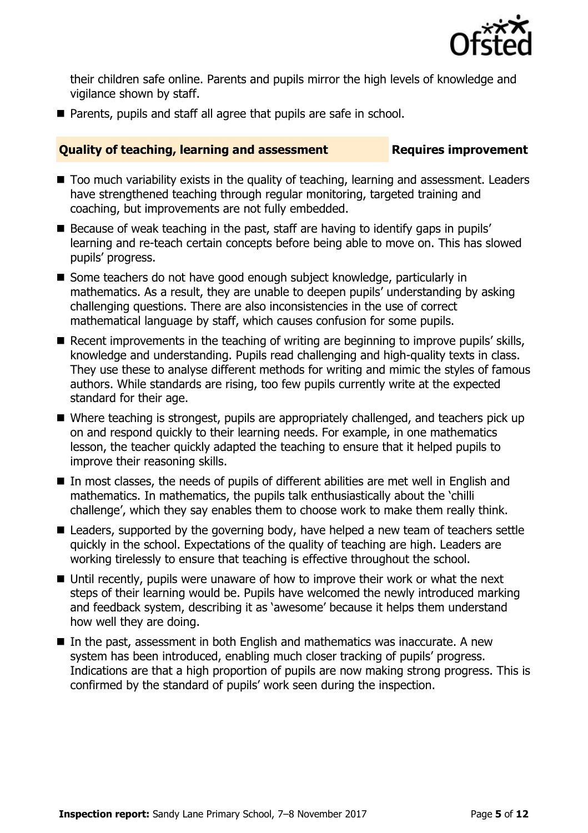

their children safe online. Parents and pupils mirror the high levels of knowledge and vigilance shown by staff.

**Parents, pupils and staff all agree that pupils are safe in school.** 

### **Quality of teaching, learning and assessment Fig. 2.1 Requires improvement**

- Too much variability exists in the quality of teaching, learning and assessment. Leaders have strengthened teaching through regular monitoring, targeted training and coaching, but improvements are not fully embedded.
- Because of weak teaching in the past, staff are having to identify gaps in pupils' learning and re-teach certain concepts before being able to move on. This has slowed pupils' progress.
- Some teachers do not have good enough subject knowledge, particularly in mathematics. As a result, they are unable to deepen pupils' understanding by asking challenging questions. There are also inconsistencies in the use of correct mathematical language by staff, which causes confusion for some pupils.
- Recent improvements in the teaching of writing are beginning to improve pupils' skills, knowledge and understanding. Pupils read challenging and high-quality texts in class. They use these to analyse different methods for writing and mimic the styles of famous authors. While standards are rising, too few pupils currently write at the expected standard for their age.
- Where teaching is strongest, pupils are appropriately challenged, and teachers pick up on and respond quickly to their learning needs. For example, in one mathematics lesson, the teacher quickly adapted the teaching to ensure that it helped pupils to improve their reasoning skills.
- In most classes, the needs of pupils of different abilities are met well in English and mathematics. In mathematics, the pupils talk enthusiastically about the 'chilli challenge', which they say enables them to choose work to make them really think.
- Leaders, supported by the governing body, have helped a new team of teachers settle quickly in the school. Expectations of the quality of teaching are high. Leaders are working tirelessly to ensure that teaching is effective throughout the school.
- Until recently, pupils were unaware of how to improve their work or what the next steps of their learning would be. Pupils have welcomed the newly introduced marking and feedback system, describing it as 'awesome' because it helps them understand how well they are doing.
- $\blacksquare$  In the past, assessment in both English and mathematics was inaccurate. A new system has been introduced, enabling much closer tracking of pupils' progress. Indications are that a high proportion of pupils are now making strong progress. This is confirmed by the standard of pupils' work seen during the inspection.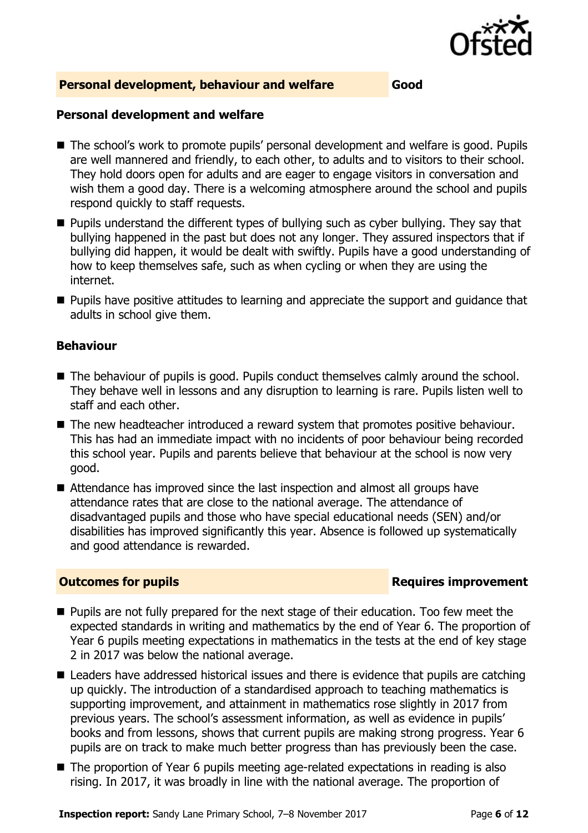

### **Personal development, behaviour and welfare Good**

### **Personal development and welfare**

- The school's work to promote pupils' personal development and welfare is good. Pupils are well mannered and friendly, to each other, to adults and to visitors to their school. They hold doors open for adults and are eager to engage visitors in conversation and wish them a good day. There is a welcoming atmosphere around the school and pupils respond quickly to staff requests.
- **Pupils understand the different types of bullying such as cyber bullying. They say that** bullying happened in the past but does not any longer. They assured inspectors that if bullying did happen, it would be dealt with swiftly. Pupils have a good understanding of how to keep themselves safe, such as when cycling or when they are using the internet.
- **Pupils have positive attitudes to learning and appreciate the support and quidance that** adults in school give them.

### **Behaviour**

- The behaviour of pupils is good. Pupils conduct themselves calmly around the school. They behave well in lessons and any disruption to learning is rare. Pupils listen well to staff and each other.
- The new headteacher introduced a reward system that promotes positive behaviour. This has had an immediate impact with no incidents of poor behaviour being recorded this school year. Pupils and parents believe that behaviour at the school is now very good.
- Attendance has improved since the last inspection and almost all groups have attendance rates that are close to the national average. The attendance of disadvantaged pupils and those who have special educational needs (SEN) and/or disabilities has improved significantly this year. Absence is followed up systematically and good attendance is rewarded.

### **Outcomes for pupils Requires improvement**

- **Pupils are not fully prepared for the next stage of their education. Too few meet the** expected standards in writing and mathematics by the end of Year 6. The proportion of Year 6 pupils meeting expectations in mathematics in the tests at the end of key stage 2 in 2017 was below the national average.
- Leaders have addressed historical issues and there is evidence that pupils are catching up quickly. The introduction of a standardised approach to teaching mathematics is supporting improvement, and attainment in mathematics rose slightly in 2017 from previous years. The school's assessment information, as well as evidence in pupils' books and from lessons, shows that current pupils are making strong progress. Year 6 pupils are on track to make much better progress than has previously been the case.
- The proportion of Year 6 pupils meeting age-related expectations in reading is also rising. In 2017, it was broadly in line with the national average. The proportion of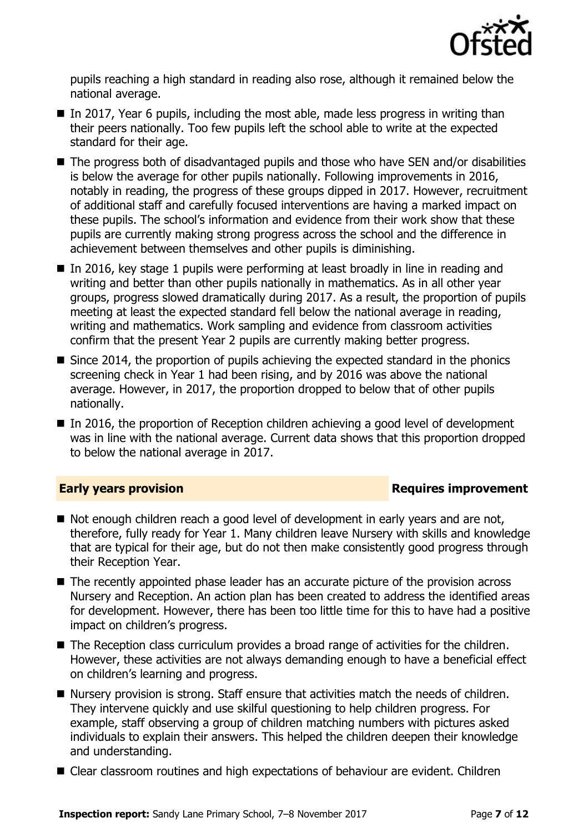

pupils reaching a high standard in reading also rose, although it remained below the national average.

- In 2017, Year 6 pupils, including the most able, made less progress in writing than their peers nationally. Too few pupils left the school able to write at the expected standard for their age.
- The progress both of disadvantaged pupils and those who have SEN and/or disabilities is below the average for other pupils nationally. Following improvements in 2016, notably in reading, the progress of these groups dipped in 2017. However, recruitment of additional staff and carefully focused interventions are having a marked impact on these pupils. The school's information and evidence from their work show that these pupils are currently making strong progress across the school and the difference in achievement between themselves and other pupils is diminishing.
- In 2016, key stage 1 pupils were performing at least broadly in line in reading and writing and better than other pupils nationally in mathematics. As in all other year groups, progress slowed dramatically during 2017. As a result, the proportion of pupils meeting at least the expected standard fell below the national average in reading, writing and mathematics. Work sampling and evidence from classroom activities confirm that the present Year 2 pupils are currently making better progress.
- Since 2014, the proportion of pupils achieving the expected standard in the phonics screening check in Year 1 had been rising, and by 2016 was above the national average. However, in 2017, the proportion dropped to below that of other pupils nationally.
- In 2016, the proportion of Reception children achieving a good level of development was in line with the national average. Current data shows that this proportion dropped to below the national average in 2017.

### **Early years provision**

- Not enough children reach a good level of development in early years and are not, therefore, fully ready for Year 1. Many children leave Nursery with skills and knowledge that are typical for their age, but do not then make consistently good progress through their Reception Year.
- The recently appointed phase leader has an accurate picture of the provision across Nursery and Reception. An action plan has been created to address the identified areas for development. However, there has been too little time for this to have had a positive impact on children's progress.
- The Reception class curriculum provides a broad range of activities for the children. However, these activities are not always demanding enough to have a beneficial effect on children's learning and progress.
- Nursery provision is strong. Staff ensure that activities match the needs of children. They intervene quickly and use skilful questioning to help children progress. For example, staff observing a group of children matching numbers with pictures asked individuals to explain their answers. This helped the children deepen their knowledge and understanding.
- Clear classroom routines and high expectations of behaviour are evident. Children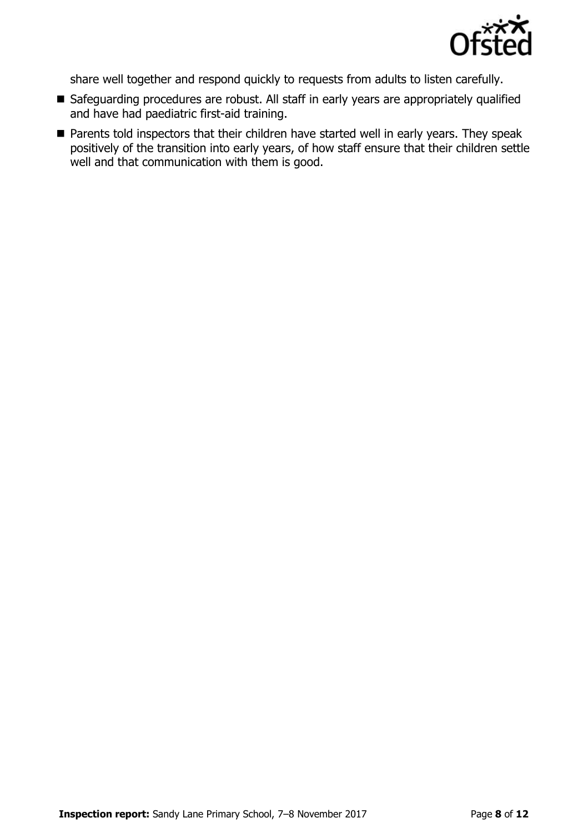

share well together and respond quickly to requests from adults to listen carefully.

- Safeguarding procedures are robust. All staff in early years are appropriately qualified and have had paediatric first-aid training.
- **Parents told inspectors that their children have started well in early years. They speak** positively of the transition into early years, of how staff ensure that their children settle well and that communication with them is good.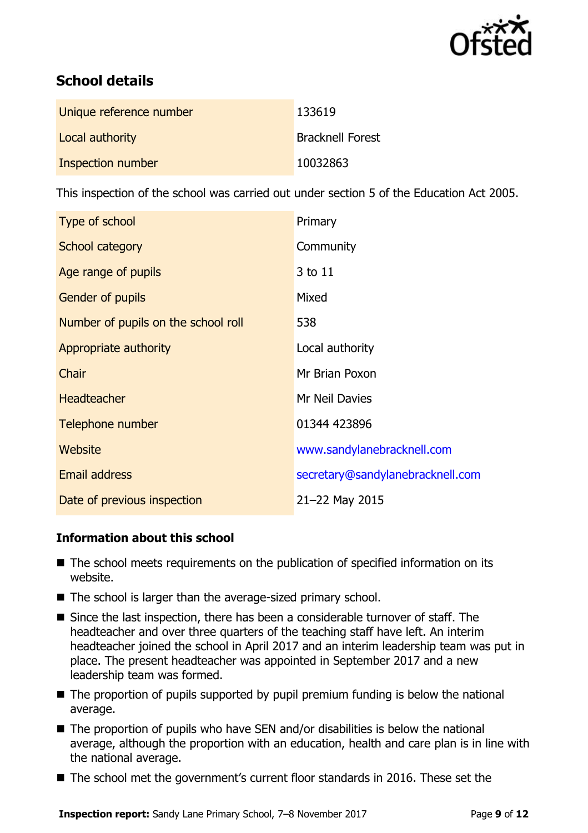

# **School details**

| Unique reference number | 133619                  |
|-------------------------|-------------------------|
| Local authority         | <b>Bracknell Forest</b> |
| Inspection number       | 10032863                |

This inspection of the school was carried out under section 5 of the Education Act 2005.

| Type of school                      | Primary                          |
|-------------------------------------|----------------------------------|
| School category                     | Community                        |
| Age range of pupils                 | 3 to 11                          |
| <b>Gender of pupils</b>             | Mixed                            |
| Number of pupils on the school roll | 538                              |
| Appropriate authority               | Local authority                  |
| Chair                               | Mr Brian Poxon                   |
| <b>Headteacher</b>                  | Mr Neil Davies                   |
| Telephone number                    | 01344 423896                     |
| Website                             | www.sandylanebracknell.com       |
| <b>Email address</b>                | secretary@sandylanebracknell.com |
| Date of previous inspection         | 21-22 May 2015                   |

### **Information about this school**

- The school meets requirements on the publication of specified information on its website.
- The school is larger than the average-sized primary school.
- Since the last inspection, there has been a considerable turnover of staff. The headteacher and over three quarters of the teaching staff have left. An interim headteacher joined the school in April 2017 and an interim leadership team was put in place. The present headteacher was appointed in September 2017 and a new leadership team was formed.
- $\blacksquare$  The proportion of pupils supported by pupil premium funding is below the national average.
- $\blacksquare$  The proportion of pupils who have SEN and/or disabilities is below the national average, although the proportion with an education, health and care plan is in line with the national average.
- The school met the government's current floor standards in 2016. These set the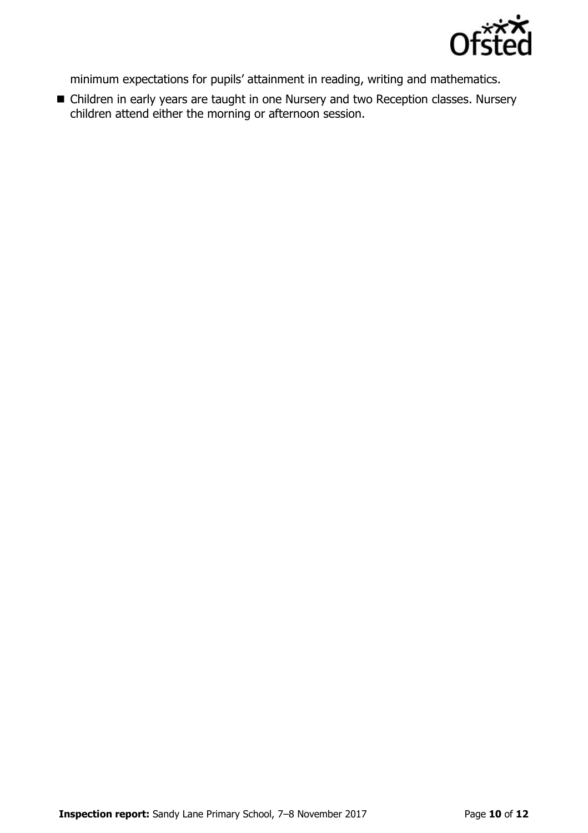

minimum expectations for pupils' attainment in reading, writing and mathematics.

 Children in early years are taught in one Nursery and two Reception classes. Nursery children attend either the morning or afternoon session.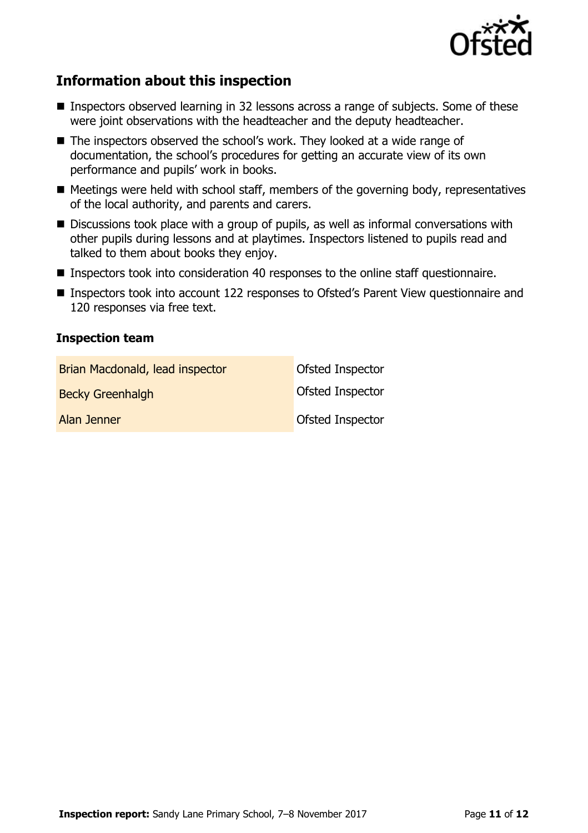

# **Information about this inspection**

- Inspectors observed learning in 32 lessons across a range of subjects. Some of these were joint observations with the headteacher and the deputy headteacher.
- The inspectors observed the school's work. They looked at a wide range of documentation, the school's procedures for getting an accurate view of its own performance and pupils' work in books.
- $\blacksquare$  Meetings were held with school staff, members of the governing body, representatives of the local authority, and parents and carers.
- Discussions took place with a group of pupils, as well as informal conversations with other pupils during lessons and at playtimes. Inspectors listened to pupils read and talked to them about books they enjoy.
- Inspectors took into consideration 40 responses to the online staff questionnaire.
- Inspectors took into account 122 responses to Ofsted's Parent View questionnaire and 120 responses via free text.

### **Inspection team**

| Brian Macdonald, lead inspector | Ofsted Inspector        |
|---------------------------------|-------------------------|
| <b>Becky Greenhalgh</b>         | <b>Ofsted Inspector</b> |
| Alan Jenner                     | <b>Ofsted Inspector</b> |